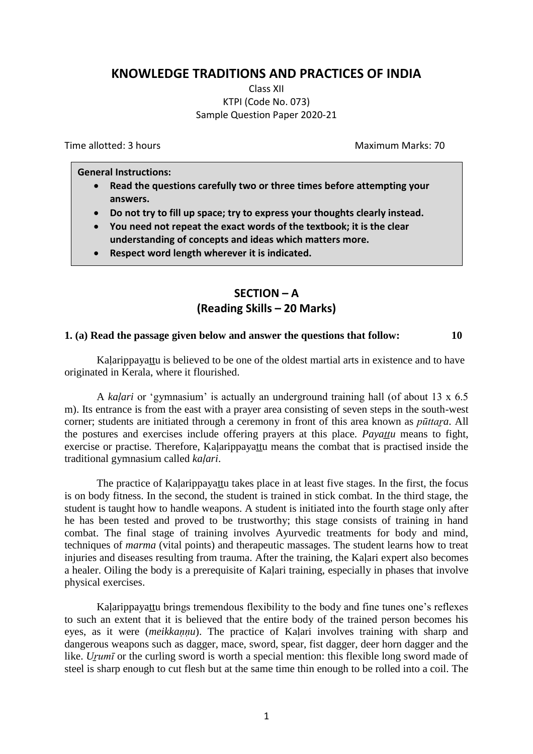## **KNOWLEDGE TRADITIONS AND PRACTICES OF INDIA**

Class XII KTPI (Code No. 073) Sample Question Paper 2020-21

Time allotted: 3 hours Maximum Marks: 70

**General Instructions:**

- **Read the questions carefully two or three times before attempting your answers.**
- **Do not try to fill up space; try to express your thoughts clearly instead.**
- **You need not repeat the exact words of the textbook; it is the clear understanding of concepts and ideas which matters more.**
- **Respect word length wherever it is indicated.**

# **SECTION – A (Reading Skills – 20 Marks)**

#### **1. (a) Read the passage given below and answer the questions that follow: 10**

Kalarippayattu is believed to be one of the oldest martial arts in existence and to have originated in Kerala, where it flourished.

A *kaḷari* or "gymnasium" is actually an underground training hall (of about 13 x 6.5 m). Its entrance is from the east with a prayer area consisting of seven steps in the south-west corner; students are initiated through a ceremony in front of this area known as *pūttaṟa*. All the postures and exercises include offering prayers at this place. *Payattu* means to fight, exercise or practise. Therefore, Kaḷarippayaṯtu means the combat that is practised inside the traditional gymnasium called *kaḷari*.

The practice of Kalarippayattu takes place in at least five stages. In the first, the focus is on body fitness. In the second, the student is trained in stick combat. In the third stage, the student is taught how to handle weapons. A student is initiated into the fourth stage only after he has been tested and proved to be trustworthy; this stage consists of training in hand combat. The final stage of training involves Ayurvedic treatments for body and mind, techniques of *marma* (vital points) and therapeutic massages. The student learns how to treat injuries and diseases resulting from trauma. After the training, the Kalari expert also becomes a healer. Oiling the body is a prerequisite of Kaḷari training, especially in phases that involve physical exercises.

Kalarippayattu brings tremendous flexibility to the body and fine tunes one's reflexes to such an extent that it is believed that the entire body of the trained person becomes his eyes, as it were (*meikkaṇṇu*). The practice of Kaḷari involves training with sharp and dangerous weapons such as dagger, mace, sword, spear, fist dagger, deer horn dagger and the like. *Urumī* or the curling sword is worth a special mention: this flexible long sword made of steel is sharp enough to cut flesh but at the same time thin enough to be rolled into a coil. The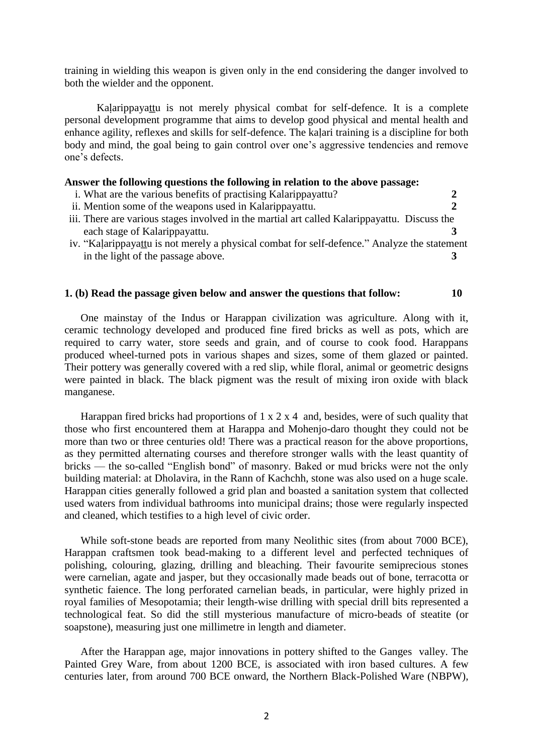training in wielding this weapon is given only in the end considering the danger involved to both the wielder and the opponent.

Kalarippayattu is not merely physical combat for self-defence. It is a complete personal development programme that aims to develop good physical and mental health and enhance agility, reflexes and skills for self-defence. The kaḷari training is a discipline for both body and mind, the goal being to gain control over one's aggressive tendencies and remove one"s defects.

### **Answer the following questions the following in relation to the above passage:**

- i. What are the various benefits of practising Kalarippayattu? **2**
- ii. Mention some of the weapons used in Kalarippayattu. **2**
- iii. There are various stages involved in the martial art called Kalarippayattu. Discuss the each stage of Kalarippayattu. **3**
- iv. "Kaļarippayattu is not merely a physical combat for self-defence." Analyze the statement in the light of the passage above. **3**

#### **1. (b) Read the passage given below and answer the questions that follow: 10**

One mainstay of the Indus or Harappan civilization was agriculture. Along with it, ceramic technology developed and produced fine fired bricks as well as pots, which are required to carry water, store seeds and grain, and of course to cook food. Harappans produced wheel-turned pots in various shapes and sizes, some of them glazed or painted. Their pottery was generally covered with a red slip, while floral, animal or geometric designs were painted in black. The black pigment was the result of mixing iron oxide with black manganese.

Harappan fired bricks had proportions of  $1 \times 2 \times 4$  and, besides, were of such quality that those who first encountered them at Harappa and Mohenjo-daro thought they could not be more than two or three centuries old! There was a practical reason for the above proportions, as they permitted alternating courses and therefore stronger walls with the least quantity of bricks — the so-called "English bond" of masonry. Baked or mud bricks were not the only building material: at Dholavira, in the Rann of Kachchh, stone was also used on a huge scale. Harappan cities generally followed a grid plan and boasted a sanitation system that collected used waters from individual bathrooms into municipal drains; those were regularly inspected and cleaned, which testifies to a high level of civic order.

While soft-stone beads are reported from many Neolithic sites (from about 7000 BCE), Harappan craftsmen took bead-making to a different level and perfected techniques of polishing, colouring, glazing, drilling and bleaching. Their favourite semiprecious stones were carnelian, agate and jasper, but they occasionally made beads out of bone, terracotta or synthetic faience. The long perforated carnelian beads, in particular, were highly prized in royal families of Mesopotamia; their length-wise drilling with special drill bits represented a technological feat. So did the still mysterious manufacture of micro-beads of steatite (or soapstone), measuring just one millimetre in length and diameter.

After the Harappan age, major innovations in pottery shifted to the Ganges valley. The Painted Grey Ware, from about 1200 BCE, is associated with iron based cultures. A few centuries later, from around 700 BCE onward, the Northern Black-Polished Ware (NBPW),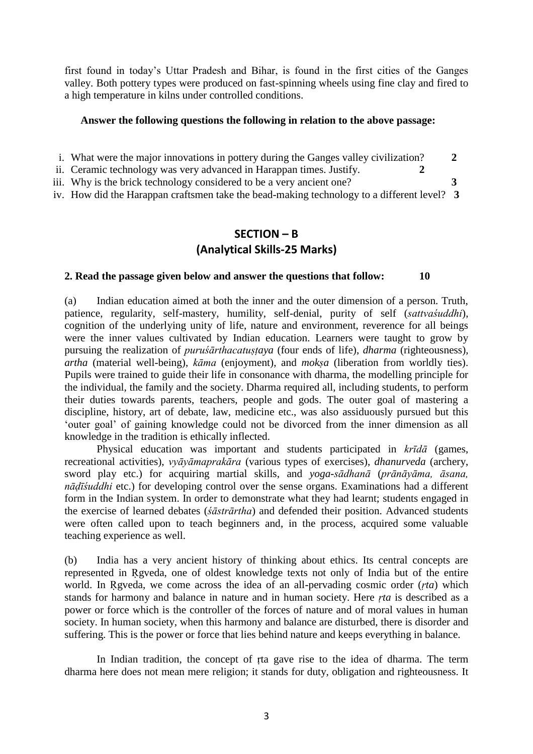first found in today"s Uttar Pradesh and Bihar, is found in the first cities of the Ganges valley. Both pottery types were produced on fast-spinning wheels using fine clay and fired to a high temperature in kilns under controlled conditions.

#### **Answer the following questions the following in relation to the above passage:**

- i. What were the major innovations in pottery during the Ganges valley civilization? **2**
- ii. Ceramic technology was very advanced in Harappan times. Justify. **2**
- iii. Why is the brick technology considered to be a very ancient one? **3**
- iv. How did the Harappan craftsmen take the bead-making technology to a different level? **3**

## **SECTION – B (Analytical Skills-25 Marks)**

### **2. Read the passage given below and answer the questions that follow: 10**

(a) Indian education aimed at both the inner and the outer dimension of a person. Truth, patience, regularity, self-mastery, humility, self-denial, purity of self (*sattvaśuddhi*), cognition of the underlying unity of life, nature and environment, reverence for all beings were the inner values cultivated by Indian education. Learners were taught to grow by pursuing the realization of *puruśārthacatuṣṭaya* (four ends of life), *dharma* (righteousness), *artha* (material well-being), *kāma* (enjoyment), and *mokṣa* (liberation from worldly ties). Pupils were trained to guide their life in consonance with dharma, the modelling principle for the individual, the family and the society. Dharma required all, including students, to perform their duties towards parents, teachers, people and gods. The outer goal of mastering a discipline, history, art of debate, law, medicine etc., was also assiduously pursued but this "outer goal" of gaining knowledge could not be divorced from the inner dimension as all knowledge in the tradition is ethically inflected.

Physical education was important and students participated in *krīdā* (games, recreational activities), *vyāyāmaprakāra* (various types of exercises), *dhanurveda* (archery, sword play etc.) for acquiring martial skills, and *yoga-sādhanā* (*prānāyāma, āsana, nāḍīśuddhi* etc.) for developing control over the sense organs. Examinations had a different form in the Indian system. In order to demonstrate what they had learnt; students engaged in the exercise of learned debates (*śāstrārtha*) and defended their position. Advanced students were often called upon to teach beginners and, in the process, acquired some valuable teaching experience as well.

(b) India has a very ancient history of thinking about ethics. Its central concepts are represented in Ṛgveda, one of oldest knowledge texts not only of India but of the entire world. In Ṛgveda, we come across the idea of an all-pervading cosmic order (*ṛta*) which stands for harmony and balance in nature and in human society. Here *ṛta* is described as a power or force which is the controller of the forces of nature and of moral values in human society. In human society, when this harmony and balance are disturbed, there is disorder and suffering. This is the power or force that lies behind nature and keeps everything in balance.

In Indian tradition, the concept of ṛta gave rise to the idea of dharma. The term dharma here does not mean mere religion; it stands for duty, obligation and righteousness. It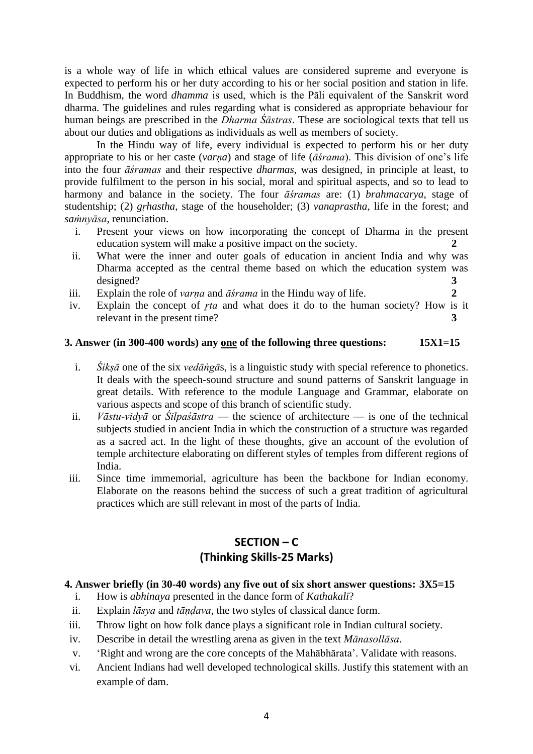is a whole way of life in which ethical values are considered supreme and everyone is expected to perform his or her duty according to his or her social position and station in life. In Buddhism, the word *dhamma* is used, which is the Pāli equivalent of the Sanskrit word dharma. The guidelines and rules regarding what is considered as appropriate behaviour for human beings are prescribed in the *Dharma Śāstras*. These are sociological texts that tell us about our duties and obligations as individuals as well as members of society.

In the Hindu way of life, every individual is expected to perform his or her duty appropriate to his or her caste (*varṇa*) and stage of life (*āśrama*). This division of one"s life into the four *āśramas* and their respective *dharmas*, was designed, in principle at least, to provide fulfilment to the person in his social, moral and spiritual aspects, and so to lead to harmony and balance in the society. The four *āśramas* are: (1) *brahmacarya*, stage of studentship; (2) *gṛhastha*, stage of the householder; (3) *vanaprastha*, life in the forest; and *saṁnyāsa*, renunciation.

- i. Present your views on how incorporating the concept of Dharma in the present education system will make a positive impact on the society. **2**
- ii. What were the inner and outer goals of education in ancient India and why was Dharma accepted as the central theme based on which the education system was designed? **3**
- iii. Explain the role of *varna* and  $\bar{a}$ *srama* in the Hindu way of life. 2
- iv. Explain the concept of *r*ta and what does it do to the human society? How is it relevant in the present time? **3**

### **3. Answer (in 300-400 words) any one of the following three questions: 15X1=15**

- i. *Śikṣā* one of the six *vedāṅgā*s, is a linguistic study with special reference to phonetics. It deals with the speech-sound structure and sound patterns of Sanskrit language in great details. With reference to the module Language and Grammar, elaborate on various aspects and scope of this branch of scientific study.
- ii. *Vāstu-vidyā* or *Śilpaśāstra* the science of architecture is one of the technical subjects studied in ancient India in which the construction of a structure was regarded as a sacred act. In the light of these thoughts, give an account of the evolution of temple architecture elaborating on different styles of temples from different regions of India.
- iii. Since time immemorial, agriculture has been the backbone for Indian economy. Elaborate on the reasons behind the success of such a great tradition of agricultural practices which are still relevant in most of the parts of India.

# **SECTION – C (Thinking Skills-25 Marks)**

### **4. Answer briefly (in 30-40 words) any five out of six short answer questions: 3X5=15**

- i. How is *abhinaya* presented in the dance form of *Kathakali*?
- ii. Explain *lāsya* and *tāṇḍava*, the two styles of classical dance form.
- iii. Throw light on how folk dance plays a significant role in Indian cultural society.
- iv. Describe in detail the wrestling arena as given in the text *Mānasollāsa*.
- v. "Right and wrong are the core concepts of the Mahābhārata". Validate with reasons.
- vi. Ancient Indians had well developed technological skills. Justify this statement with an example of dam.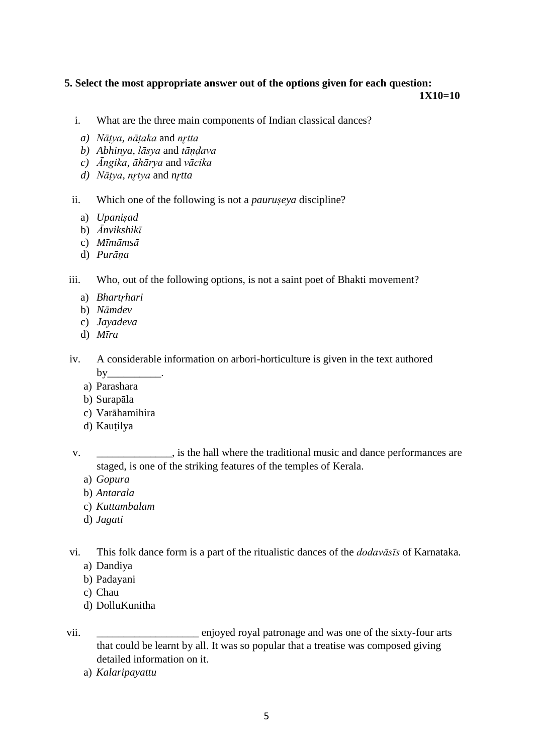## **5. Select the most appropriate answer out of the options given for each question:**

**1X10=10**

- i. What are the three main components of Indian classical dances?
- *a) Nāṭya, nāṭaka* and *nr̥tta*
- *b) Abhinya, lāsya* and *tāṇḍava*
- *c) Āngika, āhārya* and *vācika*
- *d) Nāṭya, nr̥tya* and *nr̥tta*
- ii. Which one of the following is not a *pauruṣeya* discipline?
	- a) *Upaniṣad*
	- b) *Ānvikshikī*
	- c) *Mīmāmsā*
	- d) *Purāṇa*

iii. Who, out of the following options, is not a saint poet of Bhakti movement?

- a) *Bhartṛhari*
- b) *Nāmdev*
- c) *Jayadeva*
- d) *Mīra*
- iv. A considerable information on arbori-horticulture is given in the text authored  $by_$ 
	- a) Parashara
	- b) Surapāla
	- c) Varāhamihira
	- d) Kautilya
- v. \_\_\_\_\_\_\_\_\_\_\_\_\_\_, is the hall where the traditional music and dance performances are staged, is one of the striking features of the temples of Kerala.
	- a) *Gopura*
	- b) *Antarala*
	- c) *Kuttambalam*
	- d) *Jagati*

vi. This folk dance form is a part of the ritualistic dances of the *dodavāsīs* of Karnataka. a) Dandiya

- b) Padayani
- c) Chau
- d) DolluKunitha
- vii. enjoyed royal patronage and was one of the sixty-four arts that could be learnt by all. It was so popular that a treatise was composed giving detailed information on it.
	- a) *Kalaripayattu*